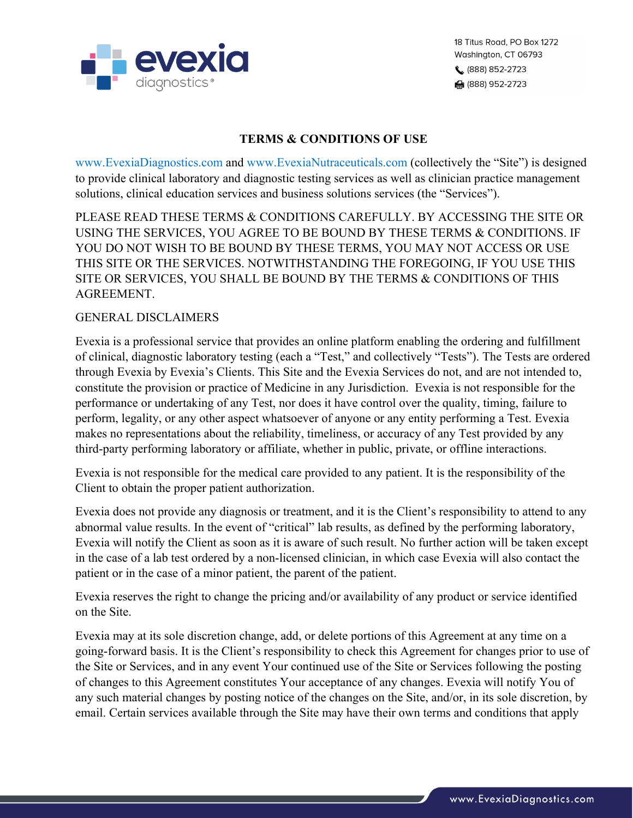

## **TERMS & CONDITIONS OF USE**

www.EvexiaDiagnostics.com and www.EvexiaNutraceuticals.com (collectively the "Site") is designed to provide clinical laboratory and diagnostic testing services as well as clinician practice management solutions, clinical education services and business solutions services (the "Services").

PLEASE READ THESE TERMS & CONDITIONS CAREFULLY. BY ACCESSING THE SITE OR USING THE SERVICES, YOU AGREE TO BE BOUND BY THESE TERMS & CONDITIONS. IF YOU DO NOT WISH TO BE BOUND BY THESE TERMS, YOU MAY NOT ACCESS OR USE THIS SITE OR THE SERVICES. NOTWITHSTANDING THE FOREGOING, IF YOU USE THIS SITE OR SERVICES, YOU SHALL BE BOUND BY THE TERMS & CONDITIONS OF THIS AGREEMENT.

## GENERAL DISCLAIMERS

Evexia is a professional service that provides an online platform enabling the ordering and fulfillment of clinical, diagnostic laboratory testing (each a "Test," and collectively "Tests"). The Tests are ordered through Evexia by Evexia's Clients. This Site and the Evexia Services do not, and are not intended to, constitute the provision or practice of Medicine in any Jurisdiction. Evexia is not responsible for the performance or undertaking of any Test, nor does it have control over the quality, timing, failure to perform, legality, or any other aspect whatsoever of anyone or any entity performing a Test. Evexia makes no representations about the reliability, timeliness, or accuracy of any Test provided by any third-party performing laboratory or affiliate, whether in public, private, or offline interactions.

Evexia is not responsible for the medical care provided to any patient. It is the responsibility of the Client to obtain the proper patient authorization.

Evexia does not provide any diagnosis or treatment, and it is the Client's responsibility to attend to any abnormal value results. In the event of "critical" lab results, as defined by the performing laboratory, Evexia will notify the Client as soon as it is aware of such result. No further action will be taken except in the case of a lab test ordered by a non-licensed clinician, in which case Evexia will also contact the patient or in the case of a minor patient, the parent of the patient.

Evexia reserves the right to change the pricing and/or availability of any product or service identified on the Site.

Evexia may at its sole discretion change, add, or delete portions of this Agreement at any time on a going-forward basis. It is the Client's responsibility to check this Agreement for changes prior to use of the Site or Services, and in any event Your continued use of the Site or Services following the posting of changes to this Agreement constitutes Your acceptance of any changes. Evexia will notify You of any such material changes by posting notice of the changes on the Site, and/or, in its sole discretion, by email. Certain services available through the Site may have their own terms and conditions that apply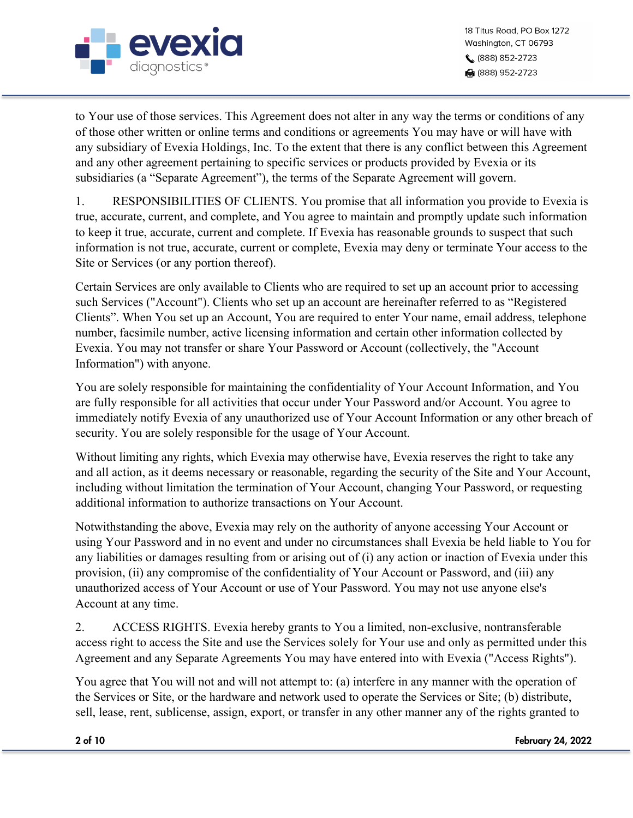

to Your use of those services. This Agreement does not alter in any way the terms or conditions of any of those other written or online terms and conditions or agreements You may have or will have with any subsidiary of Evexia Holdings, Inc. To the extent that there is any conflict between this Agreement and any other agreement pertaining to specific services or products provided by Evexia or its subsidiaries (a "Separate Agreement"), the terms of the Separate Agreement will govern.

1. RESPONSIBILITIES OF CLIENTS. You promise that all information you provide to Evexia is true, accurate, current, and complete, and You agree to maintain and promptly update such information to keep it true, accurate, current and complete. If Evexia has reasonable grounds to suspect that such information is not true, accurate, current or complete, Evexia may deny or terminate Your access to the Site or Services (or any portion thereof).

Certain Services are only available to Clients who are required to set up an account prior to accessing such Services ("Account"). Clients who set up an account are hereinafter referred to as "Registered Clients". When You set up an Account, You are required to enter Your name, email address, telephone number, facsimile number, active licensing information and certain other information collected by Evexia. You may not transfer or share Your Password or Account (collectively, the "Account Information") with anyone.

You are solely responsible for maintaining the confidentiality of Your Account Information, and You are fully responsible for all activities that occur under Your Password and/or Account. You agree to immediately notify Evexia of any unauthorized use of Your Account Information or any other breach of security. You are solely responsible for the usage of Your Account.

Without limiting any rights, which Evexia may otherwise have, Evexia reserves the right to take any and all action, as it deems necessary or reasonable, regarding the security of the Site and Your Account, including without limitation the termination of Your Account, changing Your Password, or requesting additional information to authorize transactions on Your Account.

Notwithstanding the above, Evexia may rely on the authority of anyone accessing Your Account or using Your Password and in no event and under no circumstances shall Evexia be held liable to You for any liabilities or damages resulting from or arising out of (i) any action or inaction of Evexia under this provision, (ii) any compromise of the confidentiality of Your Account or Password, and (iii) any unauthorized access of Your Account or use of Your Password. You may not use anyone else's Account at any time.

2. ACCESS RIGHTS. Evexia hereby grants to You a limited, non-exclusive, nontransferable access right to access the Site and use the Services solely for Your use and only as permitted under this Agreement and any Separate Agreements You may have entered into with Evexia ("Access Rights").

You agree that You will not and will not attempt to: (a) interfere in any manner with the operation of the Services or Site, or the hardware and network used to operate the Services or Site; (b) distribute, sell, lease, rent, sublicense, assign, export, or transfer in any other manner any of the rights granted to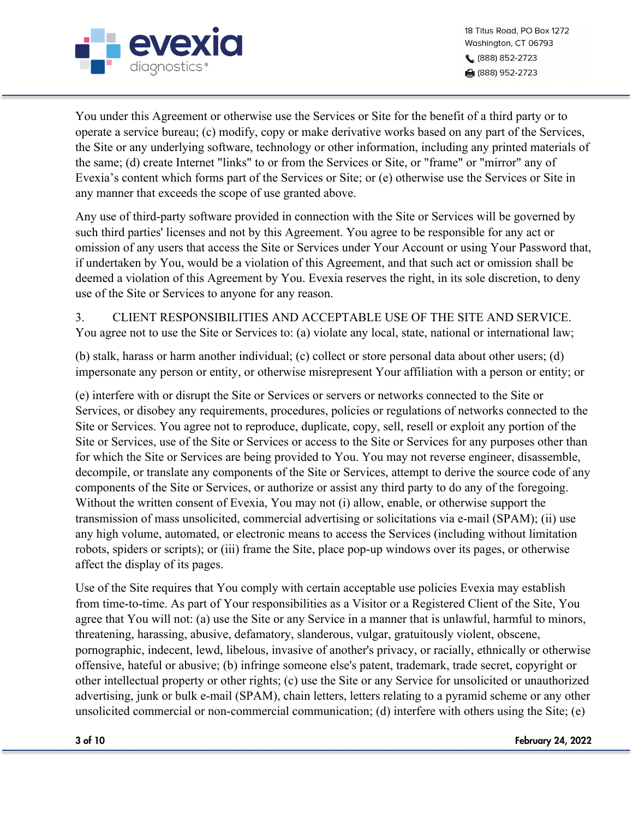

You under this Agreement or otherwise use the Services or Site for the benefit of a third party or to operate a service bureau; (c) modify, copy or make derivative works based on any part of the Services, the Site or any underlying software, technology or other information, including any printed materials of the same; (d) create Internet "links" to or from the Services or Site, or "frame" or "mirror" any of Evexia's content which forms part of the Services or Site; or (e) otherwise use the Services or Site in any manner that exceeds the scope of use granted above.

Any use of third-party software provided in connection with the Site or Services will be governed by such third parties' licenses and not by this Agreement. You agree to be responsible for any act or omission of any users that access the Site or Services under Your Account or using Your Password that, if undertaken by You, would be a violation of this Agreement, and that such act or omission shall be deemed a violation of this Agreement by You. Evexia reserves the right, in its sole discretion, to deny use of the Site or Services to anyone for any reason.

3. CLIENT RESPONSIBILITIES AND ACCEPTABLE USE OF THE SITE AND SERVICE. You agree not to use the Site or Services to: (a) violate any local, state, national or international law;

(b) stalk, harass or harm another individual; (c) collect or store personal data about other users; (d) impersonate any person or entity, or otherwise misrepresent Your affiliation with a person or entity; or

(e) interfere with or disrupt the Site or Services or servers or networks connected to the Site or Services, or disobey any requirements, procedures, policies or regulations of networks connected to the Site or Services. You agree not to reproduce, duplicate, copy, sell, resell or exploit any portion of the Site or Services, use of the Site or Services or access to the Site or Services for any purposes other than for which the Site or Services are being provided to You. You may not reverse engineer, disassemble, decompile, or translate any components of the Site or Services, attempt to derive the source code of any components of the Site or Services, or authorize or assist any third party to do any of the foregoing. Without the written consent of Evexia, You may not (i) allow, enable, or otherwise support the transmission of mass unsolicited, commercial advertising or solicitations via e-mail (SPAM); (ii) use any high volume, automated, or electronic means to access the Services (including without limitation robots, spiders or scripts); or (iii) frame the Site, place pop-up windows over its pages, or otherwise affect the display of its pages.

Use of the Site requires that You comply with certain acceptable use policies Evexia may establish from time-to-time. As part of Your responsibilities as a Visitor or a Registered Client of the Site, You agree that You will not: (a) use the Site or any Service in a manner that is unlawful, harmful to minors, threatening, harassing, abusive, defamatory, slanderous, vulgar, gratuitously violent, obscene, pornographic, indecent, lewd, libelous, invasive of another's privacy, or racially, ethnically or otherwise offensive, hateful or abusive; (b) infringe someone else's patent, trademark, trade secret, copyright or other intellectual property or other rights; (c) use the Site or any Service for unsolicited or unauthorized advertising, junk or bulk e-mail (SPAM), chain letters, letters relating to a pyramid scheme or any other unsolicited commercial or non-commercial communication; (d) interfere with others using the Site; (e)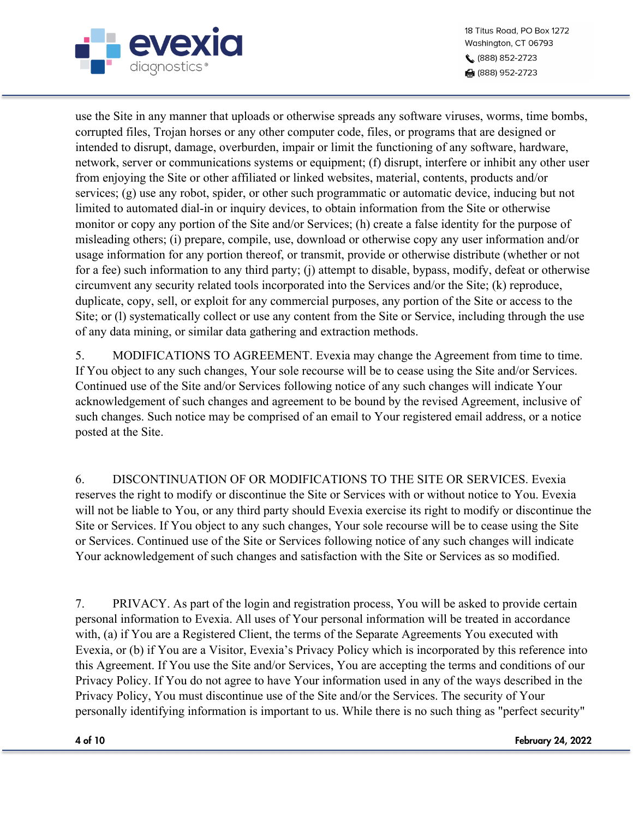

18 Titus Road, PO Box 1272 Washington, CT 06793 (888) 852-2723 ₩ (888) 952-2723

use the Site in any manner that uploads or otherwise spreads any software viruses, worms, time bombs, corrupted files, Trojan horses or any other computer code, files, or programs that are designed or intended to disrupt, damage, overburden, impair or limit the functioning of any software, hardware, network, server or communications systems or equipment; (f) disrupt, interfere or inhibit any other user from enjoying the Site or other affiliated or linked websites, material, contents, products and/or services; (g) use any robot, spider, or other such programmatic or automatic device, inducing but not limited to automated dial-in or inquiry devices, to obtain information from the Site or otherwise monitor or copy any portion of the Site and/or Services; (h) create a false identity for the purpose of misleading others; (i) prepare, compile, use, download or otherwise copy any user information and/or usage information for any portion thereof, or transmit, provide or otherwise distribute (whether or not for a fee) such information to any third party; (j) attempt to disable, bypass, modify, defeat or otherwise circumvent any security related tools incorporated into the Services and/or the Site; (k) reproduce, duplicate, copy, sell, or exploit for any commercial purposes, any portion of the Site or access to the Site; or (l) systematically collect or use any content from the Site or Service, including through the use of any data mining, or similar data gathering and extraction methods.

5. MODIFICATIONS TO AGREEMENT. Evexia may change the Agreement from time to time. If You object to any such changes, Your sole recourse will be to cease using the Site and/or Services. Continued use of the Site and/or Services following notice of any such changes will indicate Your acknowledgement of such changes and agreement to be bound by the revised Agreement, inclusive of such changes. Such notice may be comprised of an email to Your registered email address, or a notice posted at the Site.

6. DISCONTINUATION OF OR MODIFICATIONS TO THE SITE OR SERVICES. Evexia reserves the right to modify or discontinue the Site or Services with or without notice to You. Evexia will not be liable to You, or any third party should Evexia exercise its right to modify or discontinue the Site or Services. If You object to any such changes, Your sole recourse will be to cease using the Site or Services. Continued use of the Site or Services following notice of any such changes will indicate Your acknowledgement of such changes and satisfaction with the Site or Services as so modified.

7. PRIVACY. As part of the login and registration process, You will be asked to provide certain personal information to Evexia. All uses of Your personal information will be treated in accordance with, (a) if You are a Registered Client, the terms of the Separate Agreements You executed with Evexia, or (b) if You are a Visitor, Evexia's Privacy Policy which is incorporated by this reference into this Agreement. If You use the Site and/or Services, You are accepting the terms and conditions of our Privacy Policy. If You do not agree to have Your information used in any of the ways described in the Privacy Policy, You must discontinue use of the Site and/or the Services. The security of Your personally identifying information is important to us. While there is no such thing as "perfect security"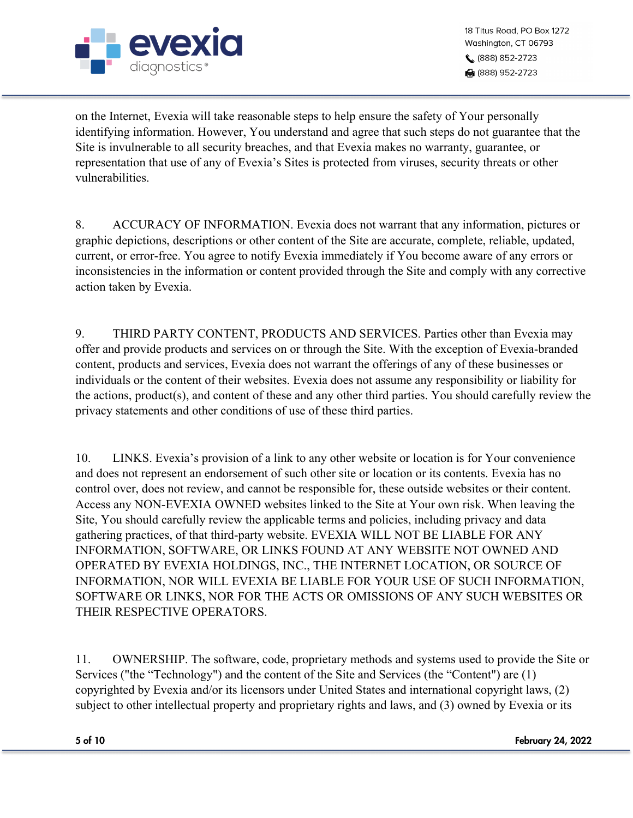

18 Titus Road, PO Box 1272 Washington, CT 06793 (888) 852-2723 ਿ (888) 952-2723

on the Internet, Evexia will take reasonable steps to help ensure the safety of Your personally identifying information. However, You understand and agree that such steps do not guarantee that the Site is invulnerable to all security breaches, and that Evexia makes no warranty, guarantee, or representation that use of any of Evexia's Sites is protected from viruses, security threats or other vulnerabilities.

8. ACCURACY OF INFORMATION. Evexia does not warrant that any information, pictures or graphic depictions, descriptions or other content of the Site are accurate, complete, reliable, updated, current, or error-free. You agree to notify Evexia immediately if You become aware of any errors or inconsistencies in the information or content provided through the Site and comply with any corrective action taken by Evexia.

9. THIRD PARTY CONTENT, PRODUCTS AND SERVICES. Parties other than Evexia may offer and provide products and services on or through the Site. With the exception of Evexia-branded content, products and services, Evexia does not warrant the offerings of any of these businesses or individuals or the content of their websites. Evexia does not assume any responsibility or liability for the actions, product(s), and content of these and any other third parties. You should carefully review the privacy statements and other conditions of use of these third parties.

10. LINKS. Evexia's provision of a link to any other website or location is for Your convenience and does not represent an endorsement of such other site or location or its contents. Evexia has no control over, does not review, and cannot be responsible for, these outside websites or their content. Access any NON-EVEXIA OWNED websites linked to the Site at Your own risk. When leaving the Site, You should carefully review the applicable terms and policies, including privacy and data gathering practices, of that third-party website. EVEXIA WILL NOT BE LIABLE FOR ANY INFORMATION, SOFTWARE, OR LINKS FOUND AT ANY WEBSITE NOT OWNED AND OPERATED BY EVEXIA HOLDINGS, INC., THE INTERNET LOCATION, OR SOURCE OF INFORMATION, NOR WILL EVEXIA BE LIABLE FOR YOUR USE OF SUCH INFORMATION, SOFTWARE OR LINKS, NOR FOR THE ACTS OR OMISSIONS OF ANY SUCH WEBSITES OR THEIR RESPECTIVE OPERATORS.

11. OWNERSHIP. The software, code, proprietary methods and systems used to provide the Site or Services ("the "Technology") and the content of the Site and Services (the "Content") are (1) copyrighted by Evexia and/or its licensors under United States and international copyright laws, (2) subject to other intellectual property and proprietary rights and laws, and (3) owned by Evexia or its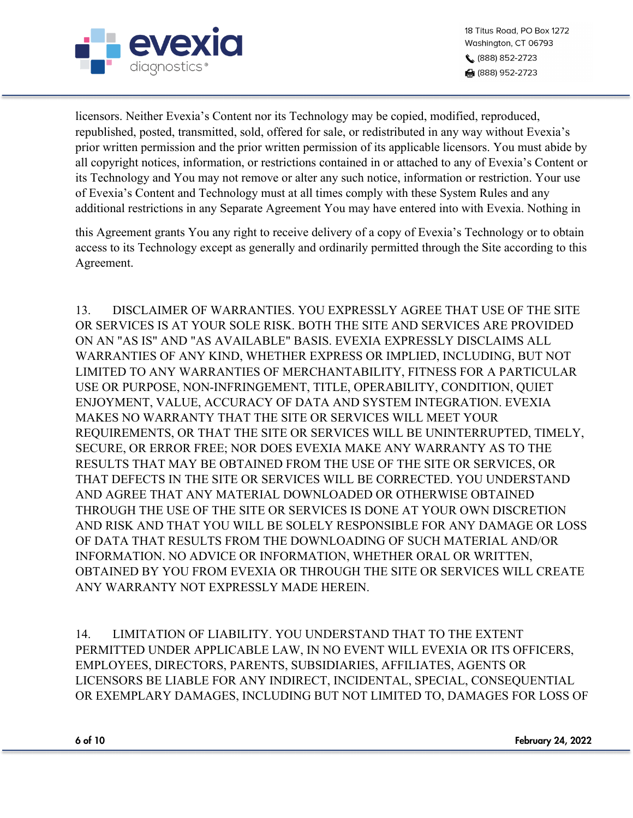

18 Titus Road, PO Box 1272 Washington, CT 06793 (888) 852-2723 ਿ (888) 952-2723

licensors. Neither Evexia's Content nor its Technology may be copied, modified, reproduced, republished, posted, transmitted, sold, offered for sale, or redistributed in any way without Evexia's prior written permission and the prior written permission of its applicable licensors. You must abide by all copyright notices, information, or restrictions contained in or attached to any of Evexia's Content or its Technology and You may not remove or alter any such notice, information or restriction. Your use of Evexia's Content and Technology must at all times comply with these System Rules and any additional restrictions in any Separate Agreement You may have entered into with Evexia. Nothing in

this Agreement grants You any right to receive delivery of a copy of Evexia's Technology or to obtain access to its Technology except as generally and ordinarily permitted through the Site according to this Agreement.

13. DISCLAIMER OF WARRANTIES. YOU EXPRESSLY AGREE THAT USE OF THE SITE OR SERVICES IS AT YOUR SOLE RISK. BOTH THE SITE AND SERVICES ARE PROVIDED ON AN "AS IS" AND "AS AVAILABLE" BASIS. EVEXIA EXPRESSLY DISCLAIMS ALL WARRANTIES OF ANY KIND, WHETHER EXPRESS OR IMPLIED, INCLUDING, BUT NOT LIMITED TO ANY WARRANTIES OF MERCHANTABILITY, FITNESS FOR A PARTICULAR USE OR PURPOSE, NON-INFRINGEMENT, TITLE, OPERABILITY, CONDITION, QUIET ENJOYMENT, VALUE, ACCURACY OF DATA AND SYSTEM INTEGRATION. EVEXIA MAKES NO WARRANTY THAT THE SITE OR SERVICES WILL MEET YOUR REQUIREMENTS, OR THAT THE SITE OR SERVICES WILL BE UNINTERRUPTED, TIMELY, SECURE, OR ERROR FREE; NOR DOES EVEXIA MAKE ANY WARRANTY AS TO THE RESULTS THAT MAY BE OBTAINED FROM THE USE OF THE SITE OR SERVICES, OR THAT DEFECTS IN THE SITE OR SERVICES WILL BE CORRECTED. YOU UNDERSTAND AND AGREE THAT ANY MATERIAL DOWNLOADED OR OTHERWISE OBTAINED THROUGH THE USE OF THE SITE OR SERVICES IS DONE AT YOUR OWN DISCRETION AND RISK AND THAT YOU WILL BE SOLELY RESPONSIBLE FOR ANY DAMAGE OR LOSS OF DATA THAT RESULTS FROM THE DOWNLOADING OF SUCH MATERIAL AND/OR INFORMATION. NO ADVICE OR INFORMATION, WHETHER ORAL OR WRITTEN, OBTAINED BY YOU FROM EVEXIA OR THROUGH THE SITE OR SERVICES WILL CREATE ANY WARRANTY NOT EXPRESSLY MADE HEREIN.

14. LIMITATION OF LIABILITY. YOU UNDERSTAND THAT TO THE EXTENT PERMITTED UNDER APPLICABLE LAW, IN NO EVENT WILL EVEXIA OR ITS OFFICERS, EMPLOYEES, DIRECTORS, PARENTS, SUBSIDIARIES, AFFILIATES, AGENTS OR LICENSORS BE LIABLE FOR ANY INDIRECT, INCIDENTAL, SPECIAL, CONSEQUENTIAL OR EXEMPLARY DAMAGES, INCLUDING BUT NOT LIMITED TO, DAMAGES FOR LOSS OF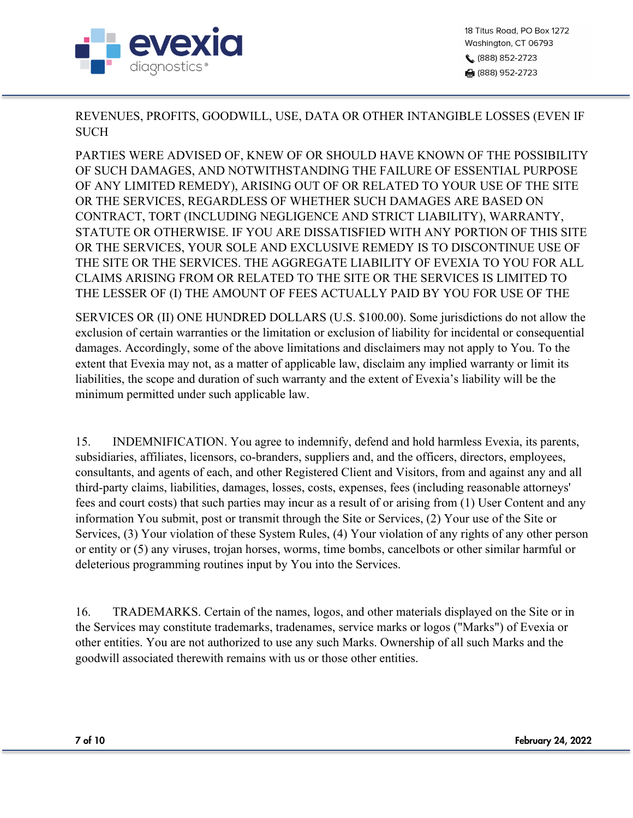

18 Titus Road, PO Box 1272 Washington, CT 06793 (888) 852-2723 ਿਗ (888) 952-2723

REVENUES, PROFITS, GOODWILL, USE, DATA OR OTHER INTANGIBLE LOSSES (EVEN IF **SUCH** 

PARTIES WERE ADVISED OF, KNEW OF OR SHOULD HAVE KNOWN OF THE POSSIBILITY OF SUCH DAMAGES, AND NOTWITHSTANDING THE FAILURE OF ESSENTIAL PURPOSE OF ANY LIMITED REMEDY), ARISING OUT OF OR RELATED TO YOUR USE OF THE SITE OR THE SERVICES, REGARDLESS OF WHETHER SUCH DAMAGES ARE BASED ON CONTRACT, TORT (INCLUDING NEGLIGENCE AND STRICT LIABILITY), WARRANTY, STATUTE OR OTHERWISE. IF YOU ARE DISSATISFIED WITH ANY PORTION OF THIS SITE OR THE SERVICES, YOUR SOLE AND EXCLUSIVE REMEDY IS TO DISCONTINUE USE OF THE SITE OR THE SERVICES. THE AGGREGATE LIABILITY OF EVEXIA TO YOU FOR ALL CLAIMS ARISING FROM OR RELATED TO THE SITE OR THE SERVICES IS LIMITED TO THE LESSER OF (I) THE AMOUNT OF FEES ACTUALLY PAID BY YOU FOR USE OF THE

SERVICES OR (II) ONE HUNDRED DOLLARS (U.S. \$100.00). Some jurisdictions do not allow the exclusion of certain warranties or the limitation or exclusion of liability for incidental or consequential damages. Accordingly, some of the above limitations and disclaimers may not apply to You. To the extent that Evexia may not, as a matter of applicable law, disclaim any implied warranty or limit its liabilities, the scope and duration of such warranty and the extent of Evexia's liability will be the minimum permitted under such applicable law.

15. INDEMNIFICATION. You agree to indemnify, defend and hold harmless Evexia, its parents, subsidiaries, affiliates, licensors, co-branders, suppliers and, and the officers, directors, employees, consultants, and agents of each, and other Registered Client and Visitors, from and against any and all third-party claims, liabilities, damages, losses, costs, expenses, fees (including reasonable attorneys' fees and court costs) that such parties may incur as a result of or arising from (1) User Content and any information You submit, post or transmit through the Site or Services, (2) Your use of the Site or Services, (3) Your violation of these System Rules, (4) Your violation of any rights of any other person or entity or (5) any viruses, trojan horses, worms, time bombs, cancelbots or other similar harmful or deleterious programming routines input by You into the Services.

16. TRADEMARKS. Certain of the names, logos, and other materials displayed on the Site or in the Services may constitute trademarks, tradenames, service marks or logos ("Marks") of Evexia or other entities. You are not authorized to use any such Marks. Ownership of all such Marks and the goodwill associated therewith remains with us or those other entities.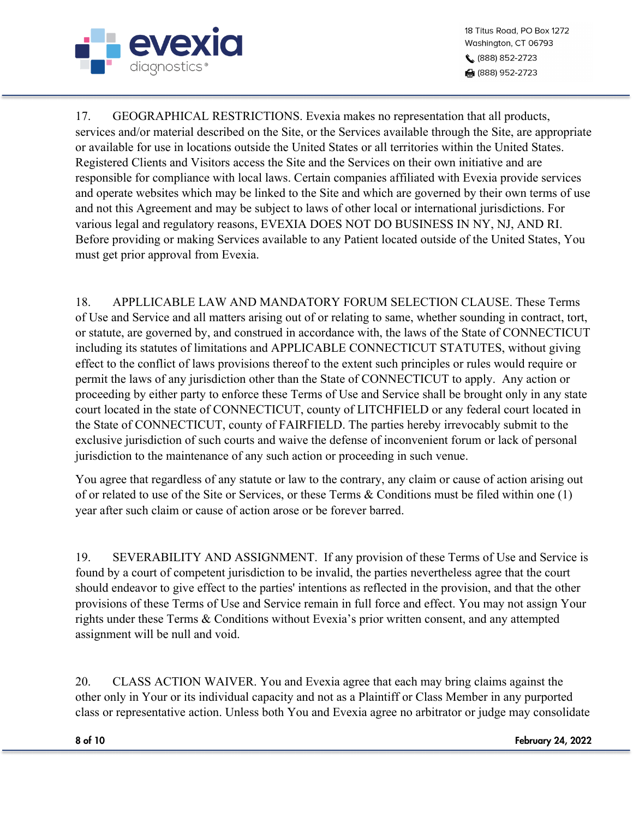

17. GEOGRAPHICAL RESTRICTIONS. Evexia makes no representation that all products, services and/or material described on the Site, or the Services available through the Site, are appropriate or available for use in locations outside the United States or all territories within the United States. Registered Clients and Visitors access the Site and the Services on their own initiative and are responsible for compliance with local laws. Certain companies affiliated with Evexia provide services and operate websites which may be linked to the Site and which are governed by their own terms of use and not this Agreement and may be subject to laws of other local or international jurisdictions. For various legal and regulatory reasons, EVEXIA DOES NOT DO BUSINESS IN NY, NJ, AND RI. Before providing or making Services available to any Patient located outside of the United States, You must get prior approval from Evexia.

18. APPLLICABLE LAW AND MANDATORY FORUM SELECTION CLAUSE. These Terms of Use and Service and all matters arising out of or relating to same, whether sounding in contract, tort, or statute, are governed by, and construed in accordance with, the laws of the State of CONNECTICUT including its statutes of limitations and APPLICABLE CONNECTICUT STATUTES, without giving effect to the conflict of laws provisions thereof to the extent such principles or rules would require or permit the laws of any jurisdiction other than the State of CONNECTICUT to apply. Any action or proceeding by either party to enforce these Terms of Use and Service shall be brought only in any state court located in the state of CONNECTICUT, county of LITCHFIELD or any federal court located in the State of CONNECTICUT, county of FAIRFIELD. The parties hereby irrevocably submit to the exclusive jurisdiction of such courts and waive the defense of inconvenient forum or lack of personal jurisdiction to the maintenance of any such action or proceeding in such venue.

You agree that regardless of any statute or law to the contrary, any claim or cause of action arising out of or related to use of the Site or Services, or these Terms & Conditions must be filed within one (1) year after such claim or cause of action arose or be forever barred.

19. SEVERABILITY AND ASSIGNMENT. If any provision of these Terms of Use and Service is found by a court of competent jurisdiction to be invalid, the parties nevertheless agree that the court should endeavor to give effect to the parties' intentions as reflected in the provision, and that the other provisions of these Terms of Use and Service remain in full force and effect. You may not assign Your rights under these Terms & Conditions without Evexia's prior written consent, and any attempted assignment will be null and void.

20. CLASS ACTION WAIVER. You and Evexia agree that each may bring claims against the other only in Your or its individual capacity and not as a Plaintiff or Class Member in any purported class or representative action. Unless both You and Evexia agree no arbitrator or judge may consolidate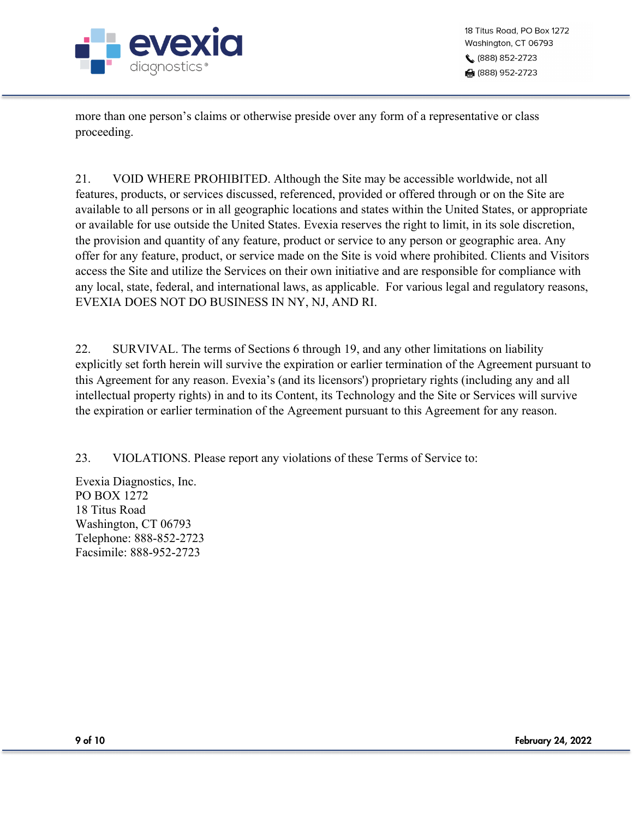

more than one person's claims or otherwise preside over any form of a representative or class proceeding.

21. VOID WHERE PROHIBITED. Although the Site may be accessible worldwide, not all features, products, or services discussed, referenced, provided or offered through or on the Site are available to all persons or in all geographic locations and states within the United States, or appropriate or available for use outside the United States. Evexia reserves the right to limit, in its sole discretion, the provision and quantity of any feature, product or service to any person or geographic area. Any offer for any feature, product, or service made on the Site is void where prohibited. Clients and Visitors access the Site and utilize the Services on their own initiative and are responsible for compliance with any local, state, federal, and international laws, as applicable. For various legal and regulatory reasons, EVEXIA DOES NOT DO BUSINESS IN NY, NJ, AND RI.

22. SURVIVAL. The terms of Sections 6 through 19, and any other limitations on liability explicitly set forth herein will survive the expiration or earlier termination of the Agreement pursuant to this Agreement for any reason. Evexia's (and its licensors') proprietary rights (including any and all intellectual property rights) in and to its Content, its Technology and the Site or Services will survive the expiration or earlier termination of the Agreement pursuant to this Agreement for any reason.

23. VIOLATIONS. Please report any violations of these Terms of Service to:

Evexia Diagnostics, Inc. PO BOX 1272 18 Titus Road Washington, CT 06793 Telephone: 888-852-2723 Facsimile: 888-952-2723